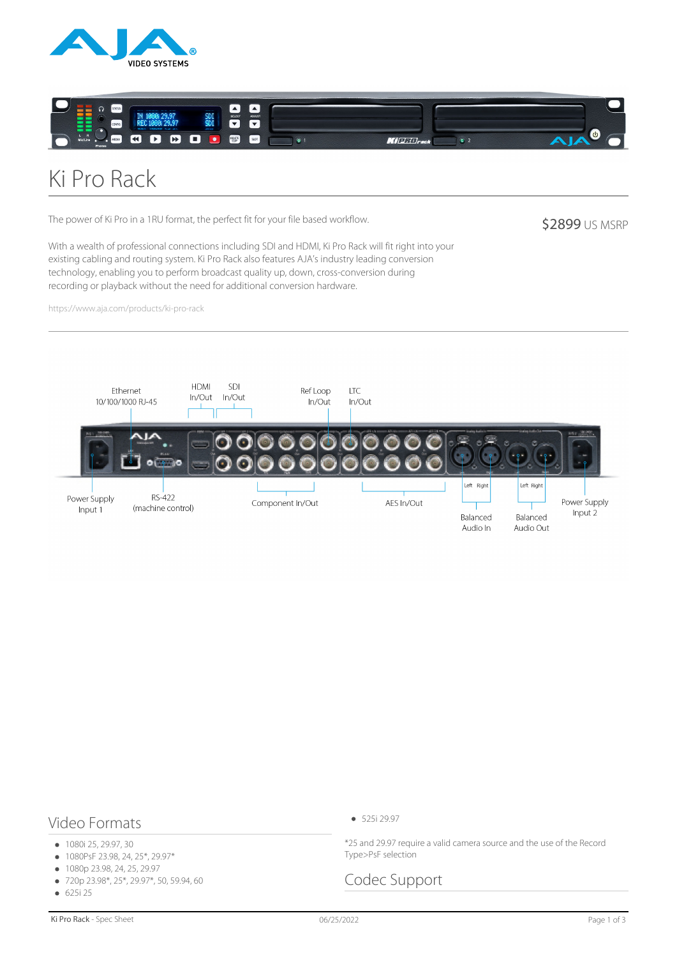



# Ki Pro Rack

The power of Ki Pro in a 1RU format, the perfect fit for your file based workflow.

**\$2899 US MSRP** 

With a wealth of professional connections including SDI and HDMI, Ki Pro Rack will fit right into your existing cabling and routing system. Ki Pro Rack also features AJA's industry leading conversion technology, enabling you to perform broadcast quality up, down, cross-conversion during recording or playback without the need for additional conversion hardware.

https://www.aja.com/products/ki-pro-rack



#### Video Formats

- 1080i 25, 29.97, 30
- 1080PsF 23.98, 24, 25\*, 29.97\*  $\bullet$
- 1080p 23.98, 24, 25, 29.97  $\bullet$
- 720p 23.98\*, 25\*, 29.97\*, 50, 59.94, 60  $\bullet$
- 625i 25  $\bullet$

\*25 and 29.97 require a valid camera source and the use of the Record Type>PsF selection

#### Codec Support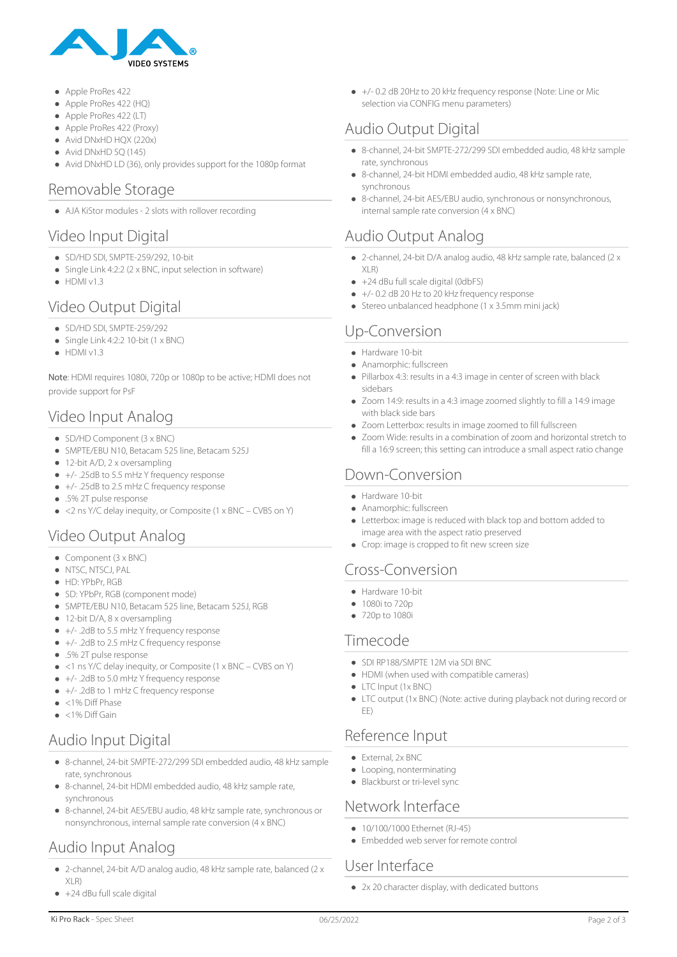

- Apple ProRes 422
- Apple ProRes 422 (HQ)
- Apple ProRes 422 (LT)
- Apple ProRes 422 (Proxy)
- Avid DNxHD HQX (220x)
- Avid DNxHD SO (145)
- Avid DNxHD LD (36), only provides support for the 1080p format

#### Removable Storage

AJA KiStor modules - 2 slots with rollover recording

#### Video Input Digital

- SD/HD SDI, SMPTE-259/292, 10-bit
- Single Link 4:2:2 (2 x BNC, input selection in software)
- $\bullet$  HDMI v1.3

#### Video Output Digital

- SD/HD SDI, SMPTE-259/292
- $\bullet$  Single Link 4:2:2 10-bit (1 x BNC)
- $\bullet$  HDMI v1.3

Note: HDMI requires 1080i, 720p or 1080p to be active; HDMI does not provide support for PsF

# Video Input Analog

- SD/HD Component (3 x BNC)
- SMPTE/EBU N10, Betacam 525 line, Betacam 525J
- 12-bit A/D, 2 x oversampling
- +/- .25dB to 5.5 mHz Y frequency response
- +/- .25dB to 2.5 mHz C frequency response
- .5% 2T pulse response
- <2 ns Y/C delay inequity, or Composite (1 x BNC CVBS on Y)

## Video Output Analog

- $\bullet$  Component (3 x BNC)
- $\bullet$  NTSC, NTSCJ, PAL
- $\bullet$  HD: YPbPr, RGB
- SD: YPbPr, RGB (component mode)
- SMPTE/EBU N10, Betacam 525 line, Betacam 525J, RGB
- 12-bit D/A, 8 x oversampling
- +/- .2dB to 5.5 mHz Y frequency response
- +/- .2dB to 2.5 mHz C frequency response
- .5% 2T pulse response
- <1 ns Y/C delay inequity, or Composite (1 x BNC CVBS on Y)
- +/- .2dB to 5.0 mHz Y frequency response
- +/- .2dB to 1 mHz C frequency response
- <1% Diff Phase
- $\bullet$  <1% Diff Gain

# Audio Input Digital

- 8-channel, 24-bit SMPTE-272/299 SDI embedded audio, 48 kHz sample rate, synchronous
- 8-channel, 24-bit HDMI embedded audio, 48 kHz sample rate, synchronous
- 8-channel, 24-bit AES/EBU audio, 48 kHz sample rate, synchronous or nonsynchronous, internal sample rate conversion (4 x BNC)

# Audio Input Analog

- 2-channel, 24-bit A/D analog audio, 48 kHz sample rate, balanced (2 x XLR)
- +24 dBu full scale digital

+/- 0.2 dB 20Hz to 20 kHz frequency response (Note: Line or Mic selection via CONFIG menu parameters)

# Audio Output Digital

- 8-channel, 24-bit SMPTE-272/299 SDI embedded audio, 48 kHz sample rate, synchronous
- 8-channel, 24-bit HDMI embedded audio, 48 kHz sample rate, synchronous
- 8-channel, 24-bit AES/EBU audio, synchronous or nonsynchronous, internal sample rate conversion (4 x BNC)

#### Audio Output Analog

- 2-channel, 24-bit D/A analog audio, 48 kHz sample rate, balanced (2 x XLR)
- $\bullet$  +24 dBu full scale digital (0dbFS)
- +/- 0.2 dB 20 Hz to 20 kHz frequency response  $\bullet$
- Stereo unbalanced headphone (1 x 3.5mm mini jack)

# Up-Conversion

- Hardware 10-bit
- $\bullet$ Anamorphic: fullscreen
- Pillarbox 4:3: results in a 4:3 image in center of screen with black sidebars
- Zoom 14:9: results in a 4:3 image zoomed slightly to fill a 14:9 image with black side bars
- Zoom Letterbox: results in image zoomed to fill fullscreen
- Zoom Wide: results in a combination of zoom and horizontal stretch to fill a 16:9 screen; this setting can introduce a small aspect ratio change

#### Down-Conversion

- Hardware 10-bit
- Anamorphic: fullscreen
- Letterbox: image is reduced with black top and bottom added to image area with the aspect ratio preserved
- Crop: image is cropped to fit new screen size

#### Cross-Conversion

- Hardware 10-bit
- 1080i to 720p
- 720p to 1080i

#### Timecode

- SDI RP188/SMPTE 12M via SDI BNC
- HDMI (when used with compatible cameras)
- LTC Input (1x BNC)
- LTC output (1x BNC) (Note: active during playback not during record or EE)

#### Reference Input

- External, 2x BNC
- Looping, nonterminating
- Blackburst or tri-level sync

#### Network Interface

- $\bullet$  10/100/1000 Ethernet (RI-45)
- Embedded web server for remote control

## User Interface

• 2x 20 character display, with dedicated buttons